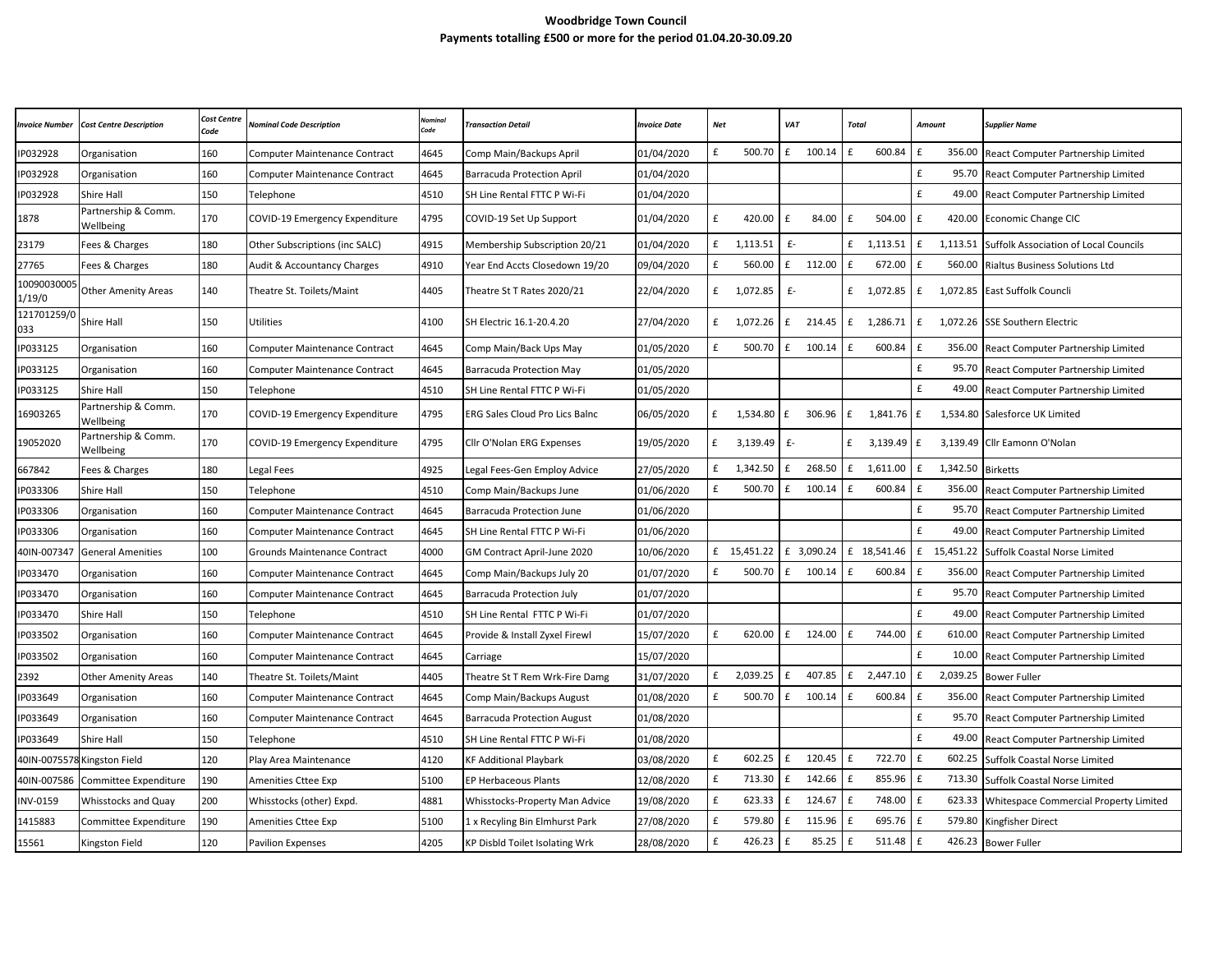## **Woodbridge Town Council Payments totalling £500 or more for the period 01.04.20-30.09.20**

| <b>Invoice Number</b> | <b>Cost Centre Description</b>   | <b>Cost Centre</b><br>Code | <b>Nominal Code Description</b>      | code. | <b>Transaction Detail</b>             | <b>Invoice Date</b> | <b>Net</b> |             | VAT          |            | Total        |             | Amount             |             | <b>Supplier Name</b>                         |
|-----------------------|----------------------------------|----------------------------|--------------------------------------|-------|---------------------------------------|---------------------|------------|-------------|--------------|------------|--------------|-------------|--------------------|-------------|----------------------------------------------|
| IP032928              | Organisation                     | 160                        | <b>Computer Maintenance Contract</b> | 4645  | Comp Main/Backups April               | 01/04/2020          | £          | 500.70      | f            | 100.14     | $\mathbf{f}$ | 600.84      | £                  | 356.00      | React Computer Partnership Limited           |
| IP032928              | Organisation                     | 160                        | <b>Computer Maintenance Contract</b> | 4645  | <b>Barracuda Protection April</b>     | 01/04/2020          |            |             |              |            |              |             | £                  | 95.70       | React Computer Partnership Limited           |
| IP032928              | <b>Shire Hall</b>                | 150                        | Telephone                            | 4510  | SH Line Rental FTTC P Wi-Fi           | 01/04/2020          |            |             |              |            |              |             | £                  | 49.00       | React Computer Partnership Limited           |
| 1878                  | Partnership & Comm.<br>Wellbeing | 170                        | COVID-19 Emergency Expenditure       | 4795  | COVID-19 Set Up Support               | 01/04/2020          | £          | 420.00      | £            | 84.00      | £            | 504.00      | $\mathbf f$        | 420.00      | Economic Change CIC                          |
| 23179                 | Fees & Charges                   | 180                        | Other Subscriptions (inc SALC)       | 4915  | Membership Subscription 20/21         | 01/04/2020          | £          | 1,113.51    | $f -$        |            | £            | 1,113.51    | £                  | 1,113.51    | <b>Suffolk Association of Local Councils</b> |
| 27765                 | Fees & Charges                   | 180                        | Audit & Accountancy Charges          | 4910  | Year End Accts Closedown 19/20        | 09/04/2020          | £          | 560.00      | f            | 112.00     | £            | 672.00      | £                  | 560.00      | Rialtus Business Solutions Ltd               |
| 10090030005<br>1/19/0 | <b>Other Amenity Areas</b>       | 140                        | Theatre St. Toilets/Maint            | 4405  | Theatre St T Rates 2020/21            | 22/04/2020          |            | £ 1,072.85  | $f -$        |            | £            | 1,072.85    | £                  | 1,072.85    | East Suffolk Councli                         |
| 121701259/0<br>033    | Shire Hall                       | 150                        | Jtilities                            | 4100  | SH Electric 16.1-20.4.20              | 27/04/2020          |            | £ 1,072.26  | £            | 214.45     | f            | 1,286.71    | £                  | 1,072.26    | <b>SSE Southern Electric</b>                 |
| IP033125              | Organisation                     | 160                        | Computer Maintenance Contract        | 4645  | Comp Main/Back Ups May                | 01/05/2020          | £          | 500.70      | £            | 100.14     | £            | 600.84      | $\mathbf f$        | 356.00      | React Computer Partnership Limited           |
| IP033125              | Organisation                     | 160                        | Computer Maintenance Contract        | 4645  | <b>Barracuda Protection May</b>       | 01/05/2020          |            |             |              |            |              |             | £                  | 95.70       | React Computer Partnership Limited           |
| IP033125              | <b>Shire Hall</b>                | 150                        | Telephone                            | 4510  | SH Line Rental FTTC P Wi-Fi           | 01/05/2020          |            |             |              |            |              |             | $\mathbf f$        | 49.00       | React Computer Partnership Limited           |
| 16903265              | Partnership & Comm.<br>Wellbeing | 170                        | COVID-19 Emergency Expenditure       | 4795  | <b>ERG Sales Cloud Pro Lics Balnc</b> | 06/05/2020          | £          | 1,534.80    | f            | 306.96     | f            | 1,841.76    | £                  |             | 1,534.80 Salesforce UK Limited               |
| 19052020              | Partnership & Comm.<br>Wellbeing | 170                        | COVID-19 Emergency Expenditure       | 4795  | Cllr O'Nolan ERG Expenses             | 19/05/2020          | £          | 3,139.49    | $f -$        |            | £            | 3,139.49    | £                  |             | 3,139.49 Cllr Eamonn O'Nolan                 |
| 667842                | Fees & Charges                   | 180                        | egal Fees                            | 4925  | Legal Fees-Gen Employ Advice          | 27/05/2020          | £          | 1,342.50    | E            | 268.50     | f            | 1,611.00    | $\mathbf f$        | 1,342.50    | <b>Birketts</b>                              |
| IP033306              | <b>Shire Hall</b>                | 150                        | Telephone                            | 4510  | Comp Main/Backups June                | 01/06/2020          | £          | 500.70      | f            | 100.14     | f            | 600.84      | $\mathbf f$        | 356.00      | React Computer Partnership Limited           |
| IP033306              | Organisation                     | 160                        | <b>Computer Maintenance Contract</b> | 4645  | <b>Barracuda Protection June</b>      | 01/06/2020          |            |             |              |            |              |             | £                  | 95.70       | React Computer Partnership Limited           |
| IP033306              | Organisation                     | 160                        | <b>Computer Maintenance Contract</b> | 4645  | SH Line Rental FTTC P Wi-Fi           | 01/06/2020          |            |             |              |            |              |             | £                  | 49.00       | React Computer Partnership Limited           |
| 40IN-007347           | <b>General Amenities</b>         | 100                        | Grounds Maintenance Contract         | 4000  | GM Contract April-June 2020           | 10/06/2020          |            | £ 15.451.22 |              | £ 3.090.24 |              | £ 18.541.46 |                    | £ 15,451.22 | <b>Suffolk Coastal Norse Limited</b>         |
| IP033470              | Organisation                     | 160                        | Computer Maintenance Contract        | 4645  | Comp Main/Backups July 20             | 01/07/2020          | £          | 500.70      | £            | 100.14     | $\mathbf{f}$ | 600.84      | $\pmb{\mathsf{f}}$ | 356.00      | React Computer Partnership Limited           |
| IP033470              | Organisation                     | 160                        | <b>Computer Maintenance Contract</b> | 4645  | Barracuda Protection July             | 01/07/2020          |            |             |              |            |              |             | £                  | 95.70       | React Computer Partnership Limited           |
| IP033470              | <b>Shire Hall</b>                | 150                        | Telephone                            | 4510  | SH Line Rental FTTC P Wi-Fi           | 01/07/2020          |            |             |              |            |              |             | £                  | 49.00       | React Computer Partnership Limited           |
| IP033502              | Organisation                     | 160                        | <b>Computer Maintenance Contract</b> | 4645  | Provide & Install Zyxel Firewl        | 15/07/2020          | £          | 620.00      | £            | 124.00     | Ι£           | 744.00      | £                  | 610.00      | React Computer Partnership Limited           |
| IP033502              | Organisation                     | 160                        | <b>Computer Maintenance Contract</b> | 4645  | Carriage                              | 15/07/2020          |            |             |              |            |              |             | £                  | 10.00       | React Computer Partnership Limited           |
| 2392                  | Other Amenity Areas              | 140                        | Theatre St. Toilets/Maint            | 4405  | Theatre St T Rem Wrk-Fire Damg        | 31/07/2020          | £          | 2,039.25    | £            | 407.85     | £            | 2,447.10    | £                  | 2,039.25    | <b>Bower Fuller</b>                          |
| IP033649              | Organisation                     | 160                        | Computer Maintenance Contract        | 4645  | Comp Main/Backups August              | 01/08/2020          | £          | 500.70      | E            | 100.14     | £            | 600.84      | £                  | 356.00      | React Computer Partnership Limited           |
| IP033649              | Organisation                     | 160                        | <b>Computer Maintenance Contract</b> | 4645  | <b>Barracuda Protection August</b>    | 01/08/2020          |            |             |              |            |              |             | $\pmb{\text{f}}$   | 95.70       | React Computer Partnership Limited           |
| IP033649              | <b>Shire Hall</b>                | 150                        | Telephone                            | 4510  | SH Line Rental FTTC P Wi-Fi           | 01/08/2020          |            |             |              |            |              |             | $\mathbf{f}$       | 49.00       | React Computer Partnership Limited           |
| 40IN-007557           | 8 Kingston Field                 | 120                        | Play Area Maintenance                | 4120  | <b>KF Additional Playbark</b>         | 03/08/2020          | £          | 602.25      | E            | 120.45     | E            | 722.70      | £                  | 602.25      | Suffolk Coastal Norse Limited                |
| 40IN-007586           | Committee Expenditure            | 190                        | Amenities Cttee Exp                  | 5100  | <b>EP Herbaceous Plants</b>           | 12/08/2020          | £          | 713.30      | E            | 142.66     | l £          | 855.96      | $\mathbf f$        | 713.30      | Suffolk Coastal Norse Limited                |
| INV-0159              | <b>Whisstocks and Quay</b>       | 200                        | Whisstocks (other) Expd.             | 4881  | Whisstocks-Property Man Advice        | 19/08/2020          | £          | 623.33      | £            | 124.67     | Ι£           | 748.00      | $\mathbf{f}$       | 623.33      | Whitespace Commercial Property Limited       |
| 1415883               | Committee Expenditure            | 190                        | Amenities Cttee Exp                  | 5100  | 1 x Recyling Bin Elmhurst Park        | 27/08/2020          | £          | 579.80      | £            | 115.96     | £            | 695.76      | £                  | 579.80      | Kingfisher Direct                            |
| 15561                 | Kingston Field                   | 120                        | <b>Pavilion Expenses</b>             | 4205  | <b>KP Disbld Toilet Isolating Wrk</b> | 28/08/2020          | £          | 426.23      | $\mathbf{f}$ | 85.25      | £            | 511.48      | $\mathbf f$        | 426.23      | <b>Bower Fuller</b>                          |